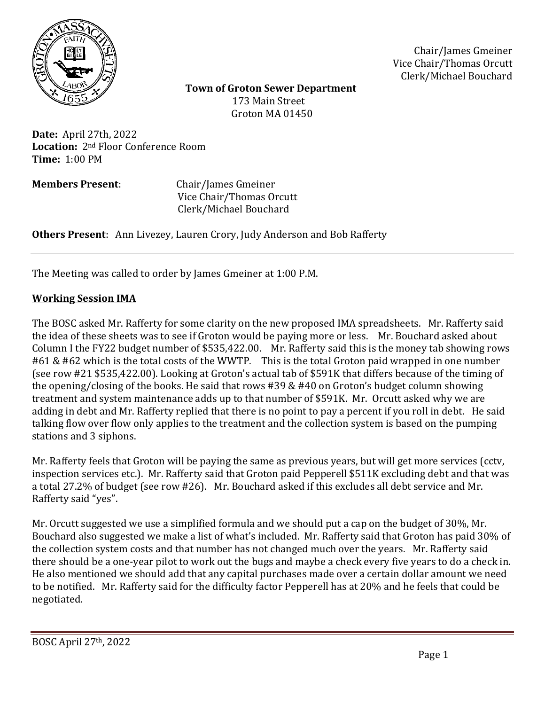

Chair/James Gmeiner Vice Chair/Thomas Orcutt Clerk/Michael Bouchard

 **Town of Groton Sewer Department** 173 Main Street Groton MA 01450

**Date:** April 27th, 2022 **Location:** 2nd Floor Conference Room **Time:** 1:00 PM

**Members Present**: Chair/James Gmeiner Vice Chair/Thomas Orcutt Clerk/Michael Bouchard

**Others Present**: Ann Livezey, Lauren Crory, Judy Anderson and Bob Rafferty

The Meeting was called to order by James Gmeiner at 1:00 P.M.

## **Working Session IMA**

The BOSC asked Mr. Rafferty for some clarity on the new proposed IMA spreadsheets. Mr. Rafferty said the idea of these sheets was to see if Groton would be paying more or less. Mr. Bouchard asked about Column I the FY22 budget number of \$535,422.00. Mr. Rafferty said this is the money tab showing rows #61 & #62 which is the total costs of the WWTP. This is the total Groton paid wrapped in one number (see row #21 \$535,422.00). Looking at Groton's actual tab of \$591K that differs because of the timing of the opening/closing of the books. He said that rows #39 & #40 on Groton's budget column showing treatment and system maintenance adds up to that number of \$591K. Mr. Orcutt asked why we are adding in debt and Mr. Rafferty replied that there is no point to pay a percent if you roll in debt. He said talking flow over flow only applies to the treatment and the collection system is based on the pumping stations and 3 siphons.

Mr. Rafferty feels that Groton will be paying the same as previous years, but will get more services (cctv, inspection services etc.). Mr. Rafferty said that Groton paid Pepperell \$511K excluding debt and that was a total 27.2% of budget (see row #26). Mr. Bouchard asked if this excludes all debt service and Mr. Rafferty said "yes".

Mr. Orcutt suggested we use a simplified formula and we should put a cap on the budget of 30%, Mr. Bouchard also suggested we make a list of what's included. Mr. Rafferty said that Groton has paid 30% of the collection system costs and that number has not changed much over the years. Mr. Rafferty said there should be a one-year pilot to work out the bugs and maybe a check every five years to do a check in. He also mentioned we should add that any capital purchases made over a certain dollar amount we need to be notified. Mr. Rafferty said for the difficulty factor Pepperell has at 20% and he feels that could be negotiated.